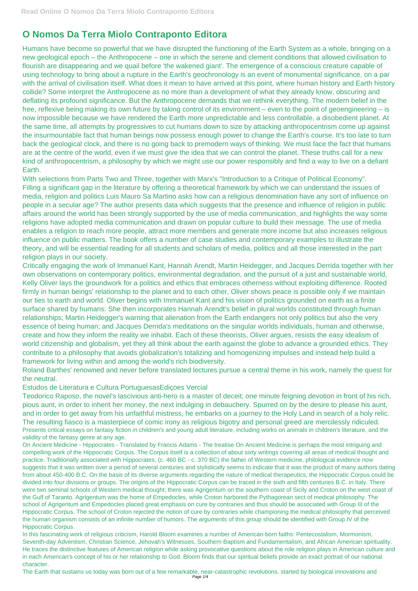## **O Nomos Da Terra Miolo Contraponto Editora**

Humans have become so powerful that we have disrupted the functioning of the Earth System as a whole, bringing on a new geological epoch – the Anthropocene – one in which the serene and clement conditions that allowed civilisation to flourish are disappearing and we quail before 'the wakened giant'. The emergence of a conscious creature capable of using technology to bring about a rupture in the Earth's geochronology is an event of monumental significance, on a par with the arrival of civilisation itself. What does it mean to have arrived at this point, where human history and Earth history collide? Some interpret the Anthropocene as no more than a development of what they already know, obscuring and deflating its profound significance. But the Anthropocene demands that we rethink everything. The modern belief in the free, reflexive being making its own future by taking control of its environment – even to the point of geoengineering – is now impossible because we have rendered the Earth more unpredictable and less controllable, a disobedient planet. At the same time, all attempts by progressives to cut humans down to size by attacking anthropocentrism come up against the insurmountable fact that human beings now possess enough power to change the Earth's course. It's too late to turn back the geological clock, and there is no going back to premodern ways of thinking. We must face the fact that humans are at the centre of the world, even if we must give the idea that we can control the planet. These truths call for a new kind of anthropocentrism, a philosophy by which we might use our power responsibly and find a way to live on a defiant Earth.

With selections from Parts Two and Three, together with Marx's "Introduction to a Critique of Political Economy". Filling a significant gap in the literature by offering a theoretical framework by which we can understand the issues of media, religion and politics Luis Mauro Sa Martino asks how can a religious denomination have any sort of influence on people in a secular age? The author presents data which suggests that the presence and influence of religion in public affairs around the world has been strongly supported by the use of media communication, and highlights the way some religions have adopted media communication and drawn on popular culture to build their message. The use of media enables a religion to reach more people, attract more members and generate more income but also increases religious influence on public matters. The book offers a number of case studies and contemporary examples to illustrate the theory, and will be essential reading for all students and scholars of media, politics and all those interested in the part religion plays in our society.

Critically engaging the work of Immanuel Kant, Hannah Arendt, Martin Heidegger, and Jacques Derrida together with her own observations on contemporary politics, environmental degradation, and the pursuit of a just and sustainable world, Kelly Oliver lays the groundwork for a politics and ethics that embraces otherness without exploiting difference. Rooted firmly in human beings' relationship to the planet and to each other, Oliver shows peace is possible only if we maintain our ties to earth and world. Oliver begins with Immanuel Kant and his vision of politics grounded on earth as a finite surface shared by humans. She then incorporates Hannah Arendt's belief in plural worlds constituted through human relationships; Martin Heidegger's warning that alienation from the Earth endangers not only politics but also the very essence of being human; and Jacques Derrida's meditations on the singular worlds individuals, human and otherwise, create and how they inform the reality we inhabit. Each of these theorists, Oliver argues, resists the easy idealism of world citizenship and globalism, yet they all think about the earth against the globe to advance a grounded ethics. They contribute to a philosophy that avoids globalization's totalizing and homogenizing impulses and instead help build a framework for living within and among the world's rich biodiversity.

Roland Barthes' renowned and never before translated lectures pursue a central theme in his work, namely the quest for the neutral.

Estudos de Literatura e Cultura PortuguesasEdiçoes Vercial

Teodorico Raposo, the novel's lascivious anti-hero is a master of deceit; one minute feigning devotion in front of his rich, pious aunt, in order to inherit her money, the next indulging in debauchery. Spurred on by the desire to please his aunt, and in order to get away from his unfaithful mistress, he embarks on a journey to the Holy Land in search of a holy relic. The resulting fiasco is a masterpiece of comic irony as religious bigotry and personal greed are mercilessly ridiculed. Presents critical essays on fantasy fiction in children's and young adult literature, including works on animals in children's literature, and the validity of the fantasy genre at any age.

On Ancient Medicine - Hippocrates - Translated by Francis Adams - The treatise On Ancient Medicine is perhaps the most intriguing and

compelling work of the Hippocratic Corpus. The Corpus itself is a collection of about sixty writings covering all areas of medical thought and practice. Traditionally associated with Hippocrates, (c. 460 BC - c. 370 BC) the father of Western medicine, philological evidence now suggests that it was written over a period of several centuries and stylistically seems to indicate that it was the product of many authors dating from about 450-400 B.C. On the basis of its diverse arguments regarding the nature of medical therapeutics, the Hippocratic Corpus could be divided into four divisions or groups. The origins of the Hippocratic Corpus can be traced in the sixth and fifth centuries B.C. in Italy. There were two seminal schools of Western medical thought; there was Agrigentum on the southern coast of Sicily and Croton on the west coast of the Gulf of Taranto. Agrigentum was the home of Empedocles, while Croton harbored the Pythagorean sect of medical philosophy. The school of Agrigentum and Empedocles placed great emphasis on cure by contraries and thus should be associated with Group III of the Hippocratic Corpus. The school of Croton rejected the notion of cure by contraries while championing the medical philosophy that perceived the human organism consists of an infinite number of humors. The arguments of this group should be identified with Group IV of the Hippocratic Corpus.

In this fascinating work of religious criticism, Harold Bloom examines a number of American-born faiths: Pentecostalism, Mormonism, Seventh-day Adventism, Christian Science, Jehovah's Witnesses, Southern Baptism and Fundamentalism, and African American spirituality. He traces the distinctive features of American religion while asking provocative questions about the role religion plays in American culture and in each American's concept of his or her relationship to God. Bloom finds that our spiritual beliefs provide an exact portrait of our national character.

The Earth that sustains us today was born out of a few remarkable, near-catastrophic revolutions, started by biological innovations and Page 1/4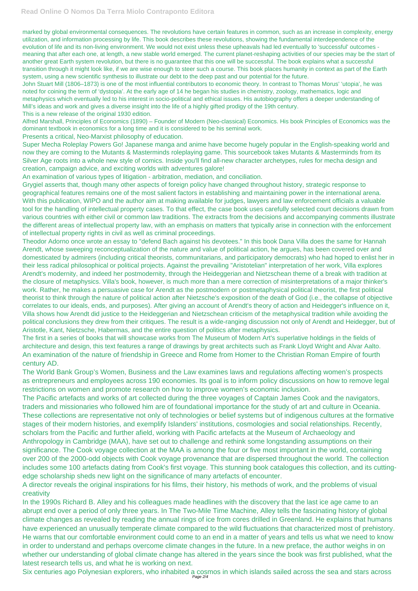marked by global environmental consequences. The revolutions have certain features in common, such as an increase in complexity, energy utilization, and information processing by life. This book describes these revolutions, showing the fundamental interdependence of the evolution of life and its non-living environment. We would not exist unless these upheavals had led eventually to 'successful' outcomes meaning that after each one, at length, a new stable world emerged. The current planet-reshaping activities of our species may be the start of another great Earth system revolution, but there is no guarantee that this one will be successful. The book explains what a successful transition through it might look like, if we are wise enough to steer such a course. This book places humanity in context as part of the Earth system, using a new scientific synthesis to illustrate our debt to the deep past and our potential for the future.

John Stuart Mill (1806–1873) is one of the most influential contributors to economic theory. In contrast to Thomas Morus' 'utopia', he was noted for coining the term of 'dystopia'. At the early age of 14 he began his studies in chemistry, zoology, mathematics, logic and metaphysics which eventually led to his interest in socio-political and ethical issues. His autobiography offers a deeper understanding of Mill's ideas and work and gives a diverse insight into the life of a highly gifted prodigy of the 19th century.

This is a new release of the original 1930 edition.

Alfred Marshall, Principles of Economics (1890) – Founder of Modern (Neo-classical) Economics. His book Principles of Economics was the dominant textbook in economics for a long time and it is considered to be his seminal work.

Presents a critical, Neo-Marxist philosophy of education.

Super Mecha Roleplay Powers Go! Japanese manga and anime have become hugely popular in the English-speaking world and now they are coming to the Mutants & Masterminds roleplaying game. This sourcebook takes Mutants & Masterminds from its Silver Age roots into a whole new style of comics. Inside you'll find all-new character archetypes, rules for mecha design and creation, campaign advice, and exciting worlds with adventures galore!

An examination of various types of litigation - arbitration, mediation, and conciliation.

Grygiel asserts that, though many other aspects of foreign policy have changed throughout history, strategic response to geographical features remains one of the most salient factors in establishing and maintaining power in the international arena. With this publication, WIPO and the author aim at making available for judges, lawyers and law enforcement officials a valuable tool for the handling of intellectual property cases. To that effect, the case book uses carefully selected court decisions drawn from various countries with either civil or common law traditions. The extracts from the decisions and accompanying comments illustrate the different areas of intellectual property law, with an emphasis on matters that typically arise in connection with the enforcement of intellectual property rights in civil as well as criminal proceedings.

Theodor Adorno once wrote an essay to "defend Bach against his devotees." In this book Dana Villa does the same for Hannah Arendt, whose sweeping reconceptualization of the nature and value of political action, he argues, has been covered over and domesticated by admirers (including critical theorists, communitarians, and participatory democrats) who had hoped to enlist her in their less radical philosophical or political projects. Against the prevailing "Aristotelian" interpretation of her work, Villa explores Arendt's modernity, and indeed her postmodernity, through the Heideggerian and Nietzschean theme of a break with tradition at the closure of metaphysics. Villa's book, however, is much more than a mere correction of misinterpretations of a major thinker's work. Rather, he makes a persuasive case for Arendt as the postmodern or postmetaphysical political theorist, the first political theorist to think through the nature of political action after Nietzsche's exposition of the death of God (i.e., the collapse of objective correlates to our ideals, ends, and purposes). After giving an account of Arendt's theory of action and Heidegger's influence on it, Villa shows how Arendt did justice to the Heideggerian and Nietzschean criticism of the metaphysical tradition while avoiding the political conclusions they drew from their critiques. The result is a wide-ranging discussion not only of Arendt and Heidegger, but of Aristotle, Kant, Nietzsche, Habermas, and the entire question of politics after metaphysics.

The first in a series of books that will showcase works from The Museum of Modern Art's superlative holdings in the fields of architecture and design, this text features a range of drawings by great architects such as Frank Lloyd Wright and Alvar Aalto. An examination of the nature of friendship in Greece and Rome from Homer to the Christian Roman Empire of fourth century AD.

The World Bank Group's Women, Business and the Law examines laws and regulations affecting women's prospects as entrepreneurs and employees across 190 economies. Its goal is to inform policy discussions on how to remove legal restrictions on women and promote research on how to improve women's economic inclusion.

The Pacific artefacts and works of art collected during the three voyages of Captain James Cook and the navigators, traders and missionaries who followed him are of foundational importance for the study of art and culture in Oceania. These collections are representative not only of technologies or belief systems but of indigenous cultures at the formative stages of their modern histories, and exemplify Islanders' institutions, cosmologies and social relationships. Recently, scholars from the Pacific and further afield, working with Pacific artefacts at the Museum of Archaeology and Anthropology in Cambridge (MAA), have set out to challenge and rethink some longstanding assumptions on their significance. The Cook voyage collection at the MAA is among the four or five most important in the world, containing over 200 of the 2000-odd objects with Cook voyage provenance that are dispersed throughout the world. The collection includes some 100 artefacts dating from Cook's first voyage. This stunning book catalogues this collection, and its cuttingedge scholarship sheds new light on the significance of many artefacts of encounter. A director reveals the original inspirations for his films, their history, his methods of work, and the problems of visual creativity In the 1990s Richard B. Alley and his colleagues made headlines with the discovery that the last ice age came to an abrupt end over a period of only three years. In The Two-Mile Time Machine, Alley tells the fascinating history of global climate changes as revealed by reading the annual rings of ice from cores drilled in Greenland. He explains that humans have experienced an unusually temperate climate compared to the wild fluctuations that characterized most of prehistory. He warns that our comfortable environment could come to an end in a matter of years and tells us what we need to know in order to understand and perhaps overcome climate changes in the future. In a new preface, the author weighs in on whether our understanding of global climate change has altered in the years since the book was first published, what the latest research tells us, and what he is working on next.

Six centuries ago Polynesian explorers, who inhabited a cosmos in which islands sailed across the sea and stars across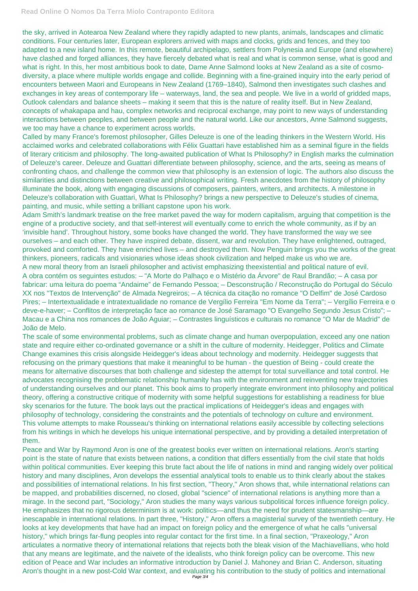the sky, arrived in Aotearoa New Zealand where they rapidly adapted to new plants, animals, landscapes and climatic conditions. Four centuries later, European explorers arrived with maps and clocks, grids and fences, and they too adapted to a new island home. In this remote, beautiful archipelago, settlers from Polynesia and Europe (and elsewhere) have clashed and forged alliances, they have fiercely debated what is real and what is common sense, what is good and what is right. In this, her most ambitious book to date, Dame Anne Salmond looks at New Zealand as a site of cosmodiversity, a place where multiple worlds engage and collide. Beginning with a fine-grained inquiry into the early period of encounters between Maori and Europeans in New Zealand (1769–1840), Salmond then investigates such clashes and exchanges in key areas of contemporary life – waterways, land, the sea and people. We live in a world of gridded maps, Outlook calendars and balance sheets – making it seem that this is the nature of reality itself. But in New Zealand, concepts of whakapapa and hau, complex networks and reciprocal exchange, may point to new ways of understanding interactions between peoples, and between people and the natural world. Like our ancestors, Anne Salmond suggests, we too may have a chance to experiment across worlds.

Called by many France's foremost philosopher, Gilles Deleuze is one of the leading thinkers in the Western World. His acclaimed works and celebrated collaborations with Félix Guattari have established him as a seminal figure in the fields of literary criticism and philosophy. The long-awaited publication of What Is Philosophy? in English marks the culmination of Deleuze's career. Deleuze and Guattari differentiate between philosophy, science, and the arts, seeing as means of confronting chaos, and challenge the common view that philosophy is an extension of logic. The authors also discuss the similarities and distinctions between creative and philosophical writing. Fresh anecdotes from the history of philosophy illuminate the book, along with engaging discussions of composers, painters, writers, and architects. A milestone in Deleuze's collaboration with Guattari, What Is Philosophy? brings a new perspective to Deleuze's studies of cinema, painting, and music, while setting a brilliant capstone upon his work.

Adam Smith's landmark treatise on the free market paved the way for modern capitalism, arguing that competition is the engine of a productive society, and that self-interest will eventually come to enrich the whole community, as if by an 'invisible hand'. Throughout history, some books have changed the world. They have transformed the way we see ourselves – and each other. They have inspired debate, dissent, war and revolution. They have enlightened, outraged, provoked and comforted. They have enriched lives – and destroyed them. Now Penguin brings you the works of the great thinkers, pioneers, radicals and visionaries whose ideas shook civilization and helped make us who we are. A new moral theory from an Israeli philosopher and activist emphasizing theexistential and political nature of evil. A obra contém os seguintes estudos: – "A Morte do Palhaço e o Mistério da Árvore" de Raul Brandão; – A casa por fabricar: uma leitura do poema "Andaime" de Fernando Pessoa; – Desconstrução / Reconstrução do Portugal do Século XX nos "Textos de Intervenção" de Almada Negreiros; – A técnica da citação no romance "O Delfim" de José Cardoso Pires; – Intertextualidade e intratextualidade no romance de Vergílio Ferreira "Em Nome da Terra"; – Vergílio Ferreira e o deve-e-haver; – Conflitos de interpretação face ao romance de José Saramago "O Evangelho Segundo Jesus Cristo"; – Macau e a China nos romances de João Aguiar; – Contrastes linguísticos e culturais no romance "O Mar de Madrid" de João de Melo.

The scale of some environmental problems, such as climate change and human overpopulation, exceed any one nation state and require either co-ordinated governance or a shift in the culture of modernity. Heidegger, Politics and Climate Change examines this crisis alongside Heidegger's ideas about technology and modernity. Heidegger suggests that refocusing on the primary questions that make it meaningful to be human - the question of Being - could create the means for alternative discourses that both challenge and sidestep the attempt for total surveillance and total control. He advocates recognising the problematic relationship humanity has with the environment and reinventing new trajectories of understanding ourselves and our planet. This book aims to properly integrate environment into philosophy and political theory, offering a constructive critique of modernity with some helpful suggestions for establishing a readiness for blue sky scenarios for the future. The book lays out the practical implications of Heidegger's ideas and engages with philosophy of technology, considering the constraints and the potentials of technology on culture and environment. This volume attempts to make Rousseau's thinking on international relations easily accessible by collecting selections from his writings in which he develops his unique international perspective, and by providing a detailed interpretation of them. Peace and War by Raymond Aron is one of the greatest books ever written on international relations. Aron's starting point is the state of nature that exists between nations, a condition that differs essentially from the civil state that holds within political communities. Ever keeping this brute fact about the life of nations in mind and ranging widely over political history and many disciplines, Aron develops the essential analytical tools to enable us to think clearly about the stakes and possibilities of international relations. In his first section, "Theory," Aron shows that, while international relations can be mapped, and probabilities discerned, no closed, global "science" of international relations is anything more than a mirage. In the second part, "Sociology," Aron studies the many ways various subpolitical forces influence foreign policy. He emphasizes that no rigorous determinism is at work: politics—and thus the need for prudent statesmanship—are inescapable in international relations. In part three, "History," Aron offers a magisterial survey of the twentieth century. He looks at key developments that have had an impact on foreign policy and the emergence of what he calls "universal history," which brings far-flung peoples into regular contact for the first time. In a final section, "Praxeology," Aron articulates a normative theory of international relations that rejects both the bleak vision of the Machiavellians, who hold that any means are legitimate, and the naivete of the idealists, who think foreign policy can be overcome. This new edition of Peace and War includes an informative introduction by Daniel J. Mahoney and Brian C. Anderson, situating Aron's thought in a new post-Cold War context, and evaluating his contribution to the study of politics and international Page 3/4